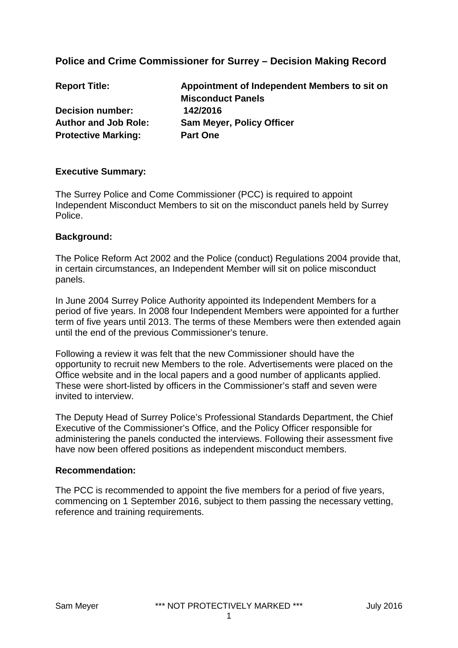## **Police and Crime Commissioner for Surrey – Decision Making Record**

| <b>Report Title:</b>        | Appointment of Independent Members to sit on |
|-----------------------------|----------------------------------------------|
|                             | <b>Misconduct Panels</b>                     |
| <b>Decision number:</b>     | 142/2016                                     |
| <b>Author and Job Role:</b> | <b>Sam Meyer, Policy Officer</b>             |
| <b>Protective Marking:</b>  | <b>Part One</b>                              |

#### **Executive Summary:**

The Surrey Police and Come Commissioner (PCC) is required to appoint Independent Misconduct Members to sit on the misconduct panels held by Surrey Police.

#### **Background:**

The Police Reform Act 2002 and the Police (conduct) Regulations 2004 provide that, in certain circumstances, an Independent Member will sit on police misconduct panels.

In June 2004 Surrey Police Authority appointed its Independent Members for a period of five years. In 2008 four Independent Members were appointed for a further term of five years until 2013. The terms of these Members were then extended again until the end of the previous Commissioner's tenure.

Following a review it was felt that the new Commissioner should have the opportunity to recruit new Members to the role. Advertisements were placed on the Office website and in the local papers and a good number of applicants applied. These were short-listed by officers in the Commissioner's staff and seven were invited to interview.

The Deputy Head of Surrey Police's Professional Standards Department, the Chief Executive of the Commissioner's Office, and the Policy Officer responsible for administering the panels conducted the interviews. Following their assessment five have now been offered positions as independent misconduct members.

#### **Recommendation:**

The PCC is recommended to appoint the five members for a period of five years, commencing on 1 September 2016, subject to them passing the necessary vetting, reference and training requirements.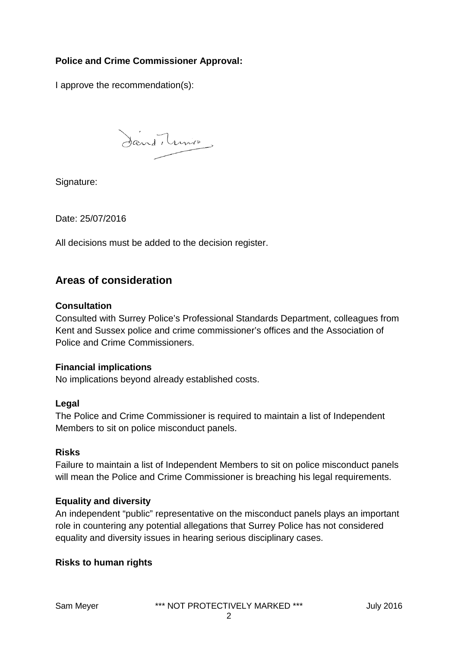## **Police and Crime Commissioner Approval:**

I approve the recommendation(s):

Sand, Lunie

Signature:

Date: 25/07/2016

All decisions must be added to the decision register.

# **Areas of consideration**

#### **Consultation**

Consulted with Surrey Police's Professional Standards Department, colleagues from Kent and Sussex police and crime commissioner's offices and the Association of Police and Crime Commissioners.

#### **Financial implications**

No implications beyond already established costs.

#### **Legal**

The Police and Crime Commissioner is required to maintain a list of Independent Members to sit on police misconduct panels.

## **Risks**

Failure to maintain a list of Independent Members to sit on police misconduct panels will mean the Police and Crime Commissioner is breaching his legal requirements.

## **Equality and diversity**

An independent "public" representative on the misconduct panels plays an important role in countering any potential allegations that Surrey Police has not considered equality and diversity issues in hearing serious disciplinary cases.

## **Risks to human rights**